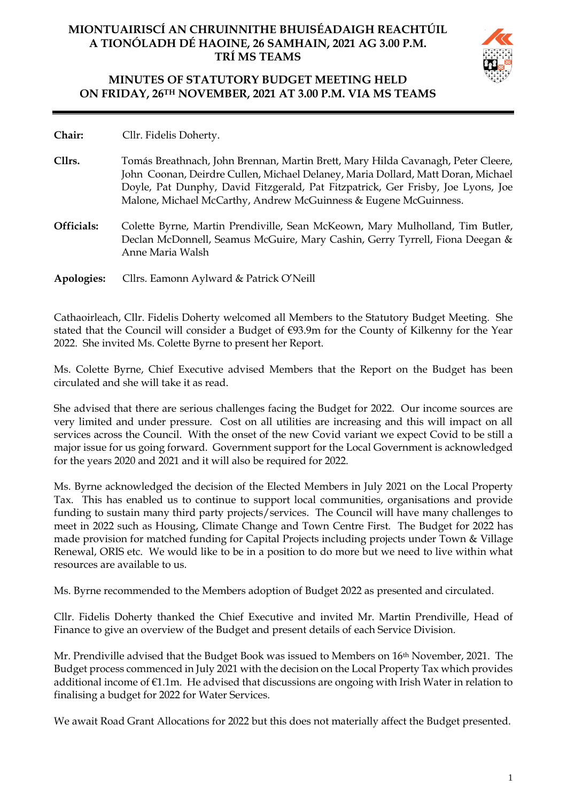# **MIONTUAIRISCÍ AN CHRUINNITHE BHUISÉADAIGH REACHTÚIL A TIONÓLADH DÉ HAOINE, 26 SAMHAIN, 2021 AG 3.00 P.M. TRÍ MS TEAMS**



# **MINUTES OF STATUTORY BUDGET MEETING HELD ON FRIDAY, 26TH NOVEMBER, 2021 AT 3.00 P.M. VIA MS TEAMS**

**Chair:** Cllr. Fidelis Doherty.

- **Cllrs.** Tomás Breathnach, John Brennan, Martin Brett, Mary Hilda Cavanagh, Peter Cleere, John Coonan, Deirdre Cullen, Michael Delaney, Maria Dollard, Matt Doran, Michael Doyle, Pat Dunphy, David Fitzgerald, Pat Fitzpatrick, Ger Frisby, Joe Lyons, Joe Malone, Michael McCarthy, Andrew McGuinness & Eugene McGuinness.
- **Officials:** Colette Byrne, Martin Prendiville, Sean McKeown, Mary Mulholland, Tim Butler, Declan McDonnell, Seamus McGuire, Mary Cashin, Gerry Tyrrell, Fiona Deegan & Anne Maria Walsh
- **Apologies:** Cllrs. Eamonn Aylward & Patrick O'Neill

Cathaoirleach, Cllr. Fidelis Doherty welcomed all Members to the Statutory Budget Meeting. She stated that the Council will consider a Budget of €93.9m for the County of Kilkenny for the Year 2022. She invited Ms. Colette Byrne to present her Report.

Ms. Colette Byrne, Chief Executive advised Members that the Report on the Budget has been circulated and she will take it as read.

She advised that there are serious challenges facing the Budget for 2022. Our income sources are very limited and under pressure. Cost on all utilities are increasing and this will impact on all services across the Council. With the onset of the new Covid variant we expect Covid to be still a major issue for us going forward. Government support for the Local Government is acknowledged for the years 2020 and 2021 and it will also be required for 2022.

Ms. Byrne acknowledged the decision of the Elected Members in July 2021 on the Local Property Tax. This has enabled us to continue to support local communities, organisations and provide funding to sustain many third party projects/services. The Council will have many challenges to meet in 2022 such as Housing, Climate Change and Town Centre First. The Budget for 2022 has made provision for matched funding for Capital Projects including projects under Town & Village Renewal, ORIS etc. We would like to be in a position to do more but we need to live within what resources are available to us.

Ms. Byrne recommended to the Members adoption of Budget 2022 as presented and circulated.

Cllr. Fidelis Doherty thanked the Chief Executive and invited Mr. Martin Prendiville, Head of Finance to give an overview of the Budget and present details of each Service Division.

Mr. Prendiville advised that the Budget Book was issued to Members on 16th November, 2021. The Budget process commenced in July 2021 with the decision on the Local Property Tax which provides additional income of €1.1m. He advised that discussions are ongoing with Irish Water in relation to finalising a budget for 2022 for Water Services.

We await Road Grant Allocations for 2022 but this does not materially affect the Budget presented.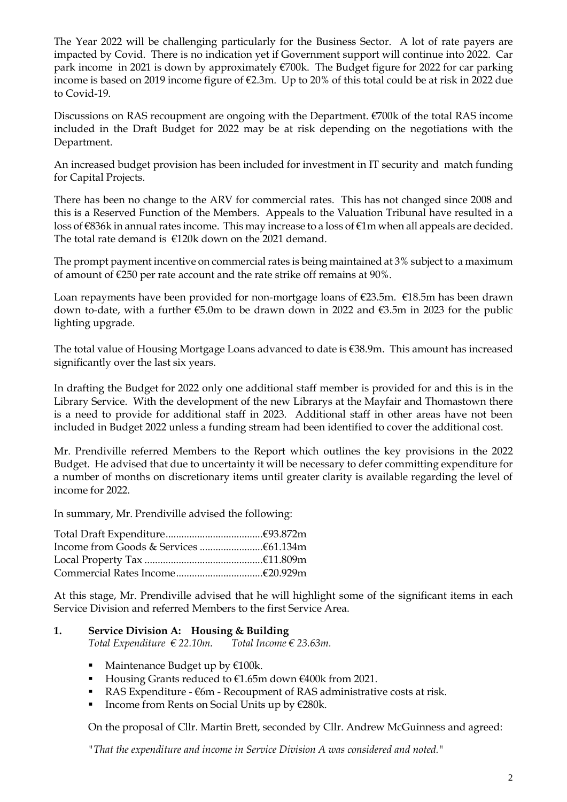The Year 2022 will be challenging particularly for the Business Sector. A lot of rate payers are impacted by Covid. There is no indication yet if Government support will continue into 2022. Car park income in 2021 is down by approximately €700k. The Budget figure for 2022 for car parking income is based on 2019 income figure of €2.3m. Up to 20% of this total could be at risk in 2022 due to Covid-19.

Discussions on RAS recoupment are ongoing with the Department. €700k of the total RAS income included in the Draft Budget for 2022 may be at risk depending on the negotiations with the Department.

An increased budget provision has been included for investment in IT security and match funding for Capital Projects.

There has been no change to the ARV for commercial rates. This has not changed since 2008 and this is a Reserved Function of the Members. Appeals to the Valuation Tribunal have resulted in a loss of €836k in annual rates income. This may increase to a loss of €1m when all appeals are decided. The total rate demand is €120k down on the 2021 demand.

The prompt payment incentive on commercial rates is being maintained at 3% subject to a maximum of amount of  $\epsilon$ 250 per rate account and the rate strike off remains at 90%.

Loan repayments have been provided for non-mortgage loans of €23.5m. €18.5m has been drawn down to-date, with a further €5.0m to be drawn down in 2022 and €3.5m in 2023 for the public lighting upgrade.

The total value of Housing Mortgage Loans advanced to date is €38.9m. This amount has increased significantly over the last six years.

In drafting the Budget for 2022 only one additional staff member is provided for and this is in the Library Service. With the development of the new Librarys at the Mayfair and Thomastown there is a need to provide for additional staff in 2023. Additional staff in other areas have not been included in Budget 2022 unless a funding stream had been identified to cover the additional cost.

Mr. Prendiville referred Members to the Report which outlines the key provisions in the 2022 Budget. He advised that due to uncertainty it will be necessary to defer committing expenditure for a number of months on discretionary items until greater clarity is available regarding the level of income for 2022.

In summary, Mr. Prendiville advised the following:

At this stage, Mr. Prendiville advised that he will highlight some of the significant items in each Service Division and referred Members to the first Service Area.

# **1. Service Division A: Housing & Building**

*Total Expenditure € 22.10m. Total Income € 23.63m.*

- Maintenance Budget up by  $€100k$ .
- Housing Grants reduced to €1.65m down €400k from 2021.
- RAS Expenditure  $-$  €6m  $-$  Recoupment of RAS administrative costs at risk.
- Income from Rents on Social Units up by  $E280k$ .

On the proposal of Cllr. Martin Brett, seconded by Cllr. Andrew McGuinness and agreed:

*"That the expenditure and income in Service Division A was considered and noted."*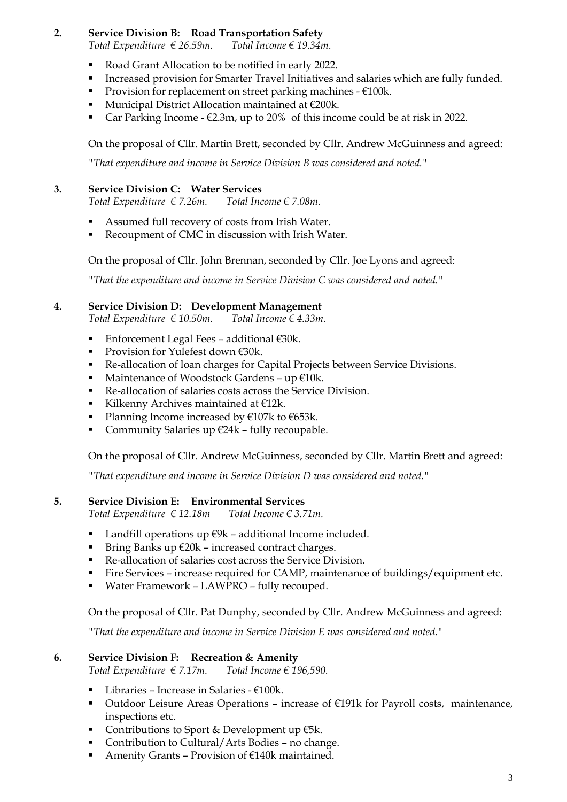## **2. Service Division B: Road Transportation Safety**

*Total Expenditure* € 26.59*m*. *Total Income* € 19.34*m*.

- Road Grant Allocation to be notified in early 2022.
- Increased provision for Smarter Travel Initiatives and salaries which are fully funded.
- **•** Provision for replacement on street parking machines  $-\epsilon 100k$ .
- Municipal District Allocation maintained at €200k.
- Car Parking Income  $\epsilon$ 2.3m, up to 20% of this income could be at risk in 2022.

On the proposal of Cllr. Martin Brett, seconded by Cllr. Andrew McGuinness and agreed:

*"That expenditure and income in Service Division B was considered and noted."*

#### **3. Service Division C: Water Services**

*Total Expenditure € 7.26m. Total Income € 7.08m.*

- Assumed full recovery of costs from Irish Water.
- Recoupment of CMC in discussion with Irish Water.

On the proposal of Cllr. John Brennan, seconded by Cllr. Joe Lyons and agreed:

*"That the expenditure and income in Service Division C was considered and noted."*

## **4. Service Division D: Development Management**

*Total Expenditure € 10.50m. Total Income € 4.33m.*

- Enforcement Legal Fees additional €30k.
- Provision for Yulefest down €30k.
- Re-allocation of loan charges for Capital Projects between Service Divisions.
- Maintenance of Woodstock Gardens up  $€10k$ .
- Re-allocation of salaries costs across the Service Division.
- Kilkenny Archives maintained at €12k.
- Planning Income increased by  $€107k$  to  $€653k$ .
- Community Salaries up  $€24k fully$  recoupable.

On the proposal of Cllr. Andrew McGuinness, seconded by Cllr. Martin Brett and agreed:

*"That expenditure and income in Service Division D was considered and noted."*

#### **5. Service Division E: Environmental Services**

*Total Expenditure € 12.18m Total Income € 3.71m.*

- Landfill operations up  $€9k$  additional Income included.
- Bring Banks up  $\epsilon$ 20k increased contract charges.
- Re-allocation of salaries cost across the Service Division.
- Fire Services increase required for CAMP, maintenance of buildings/equipment etc.
- Water Framework LAWPRO fully recouped.

On the proposal of Cllr. Pat Dunphy, seconded by Cllr. Andrew McGuinness and agreed:

*"That the expenditure and income in Service Division E was considered and noted."*

#### **6. Service Division F: Recreation & Amenity**

*Total Expenditure € 7.17m. Total Income € 196,590.*

- **•** Libraries Increase in Salaries  $€100k$ .
- Outdoor Leisure Areas Operations increase of  $E191k$  for Payroll costs, maintenance, inspections etc.
- Contributions to Sport & Development up  $€5k$ .
- Contribution to Cultural/Arts Bodies no change.
- Amenity Grants Provision of €140k maintained.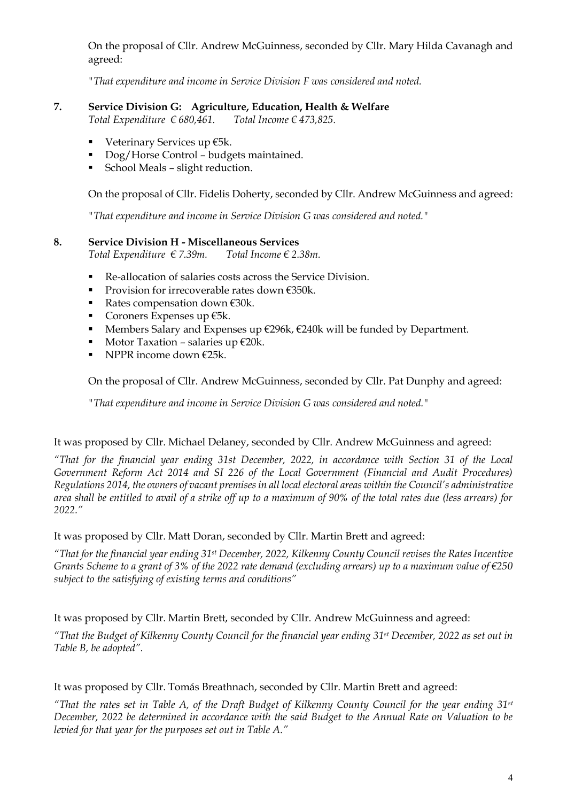On the proposal of Cllr. Andrew McGuinness, seconded by Cllr. Mary Hilda Cavanagh and agreed:

*"That expenditure and income in Service Division F was considered and noted.*

## **7. Service Division G: Agriculture, Education, Health & Welfare**

*Total Expenditure € 680,461. Total Income € 473,825.*

- Veterinary Services up €5k.
- Dog/Horse Control budgets maintained.
- School Meals slight reduction.

On the proposal of Cllr. Fidelis Doherty, seconded by Cllr. Andrew McGuinness and agreed:

*"That expenditure and income in Service Division G was considered and noted."*

#### **8. Service Division H - Miscellaneous Services**

*Total Expenditure € 7.39m. Total Income € 2.38m.*

- Re-allocation of salaries costs across the Service Division.
- Provision for irrecoverable rates down €350k.
- Rates compensation down  $€30k$ .
- Coroners Expenses up  $E5k$ .
- Members Salary and Expenses up €296k, €240k will be funded by Department.
- Motor Taxation salaries up  $\epsilon$ 20k.
- **•** NPPR income down  $\epsilon$ 25k.

On the proposal of Cllr. Andrew McGuinness, seconded by Cllr. Pat Dunphy and agreed:

*"That expenditure and income in Service Division G was considered and noted."*

#### It was proposed by Cllr. Michael Delaney, seconded by Cllr. Andrew McGuinness and agreed:

*"That for the financial year ending 31st December, 2022, in accordance with Section 31 of the Local Government Reform Act 2014 and SI 226 of the Local Government (Financial and Audit Procedures) Regulations 2014, the owners of vacant premises in all local electoral areas within the Council's administrative area shall be entitled to avail of a strike off up to a maximum of 90% of the total rates due (less arrears) for 2022."*

#### It was proposed by Cllr. Matt Doran, seconded by Cllr. Martin Brett and agreed:

*"That for the financial year ending 31st December, 2022, Kilkenny County Council revises the Rates Incentive Grants Scheme to a grant of 3% of the 2022 rate demand (excluding arrears) up to a maximum value of €250 subject to the satisfying of existing terms and conditions"*

#### It was proposed by Cllr. Martin Brett, seconded by Cllr. Andrew McGuinness and agreed:

*"That the Budget of Kilkenny County Council for the financial year ending 31st December, 2022 as set out in Table B, be adopted".*

#### It was proposed by Cllr. Tomás Breathnach, seconded by Cllr. Martin Brett and agreed:

*"That the rates set in Table A, of the Draft Budget of Kilkenny County Council for the year ending 31st December, 2022 be determined in accordance with the said Budget to the Annual Rate on Valuation to be levied for that year for the purposes set out in Table A."*